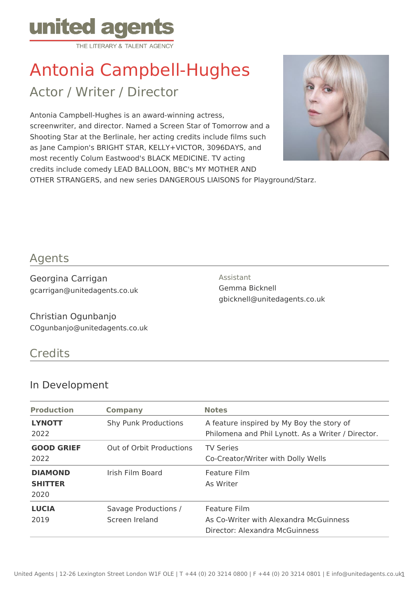

# Antonia Campbell-Hughes

Actor / Writer / Director

Antonia Campbell-Hughes is an award-winning actress, screenwriter, and director. Named a Screen Star of Tomorrow and a Shooting Star at the Berlinale, her acting credits include films such as Jane Campion's BRIGHT STAR, KELLY+VICTOR, 3096DAYS, and most recently Colum Eastwood's BLACK MEDICINE. TV acting credits include comedy LEAD BALLOON, BBC's MY MOTHER AND OTHER STRANGERS, and new series DANGEROUS LIAISONS for Playground/Starz.



## Agents

Georgina Carrigan gcarrigan@unitedagents.co.uk Assistant Gemma Bicknell gbicknell@unitedagents.co.uk

Christian Ogunbanjo COgunbanjo@unitedagents.co.uk

## **Credits**

#### In Development

| <b>Production</b>                        | <b>Company</b>                         | <b>Notes</b>                                                                                    |
|------------------------------------------|----------------------------------------|-------------------------------------------------------------------------------------------------|
| <b>LYNOTT</b><br>2022                    | <b>Shy Punk Productions</b>            | A feature inspired by My Boy the story of<br>Philomena and Phil Lynott. As a Writer / Director. |
| <b>GOOD GRIEF</b><br>2022                | Out of Orbit Productions               | <b>TV Series</b><br>Co-Creator/Writer with Dolly Wells                                          |
| <b>DIAMOND</b><br><b>SHITTER</b><br>2020 | Irish Film Board                       | Feature Film<br>As Writer                                                                       |
| <b>LUCIA</b><br>2019                     | Savage Productions /<br>Screen Ireland | Feature Film<br>As Co-Writer with Alexandra McGuinness<br>Director: Alexandra McGuinness        |